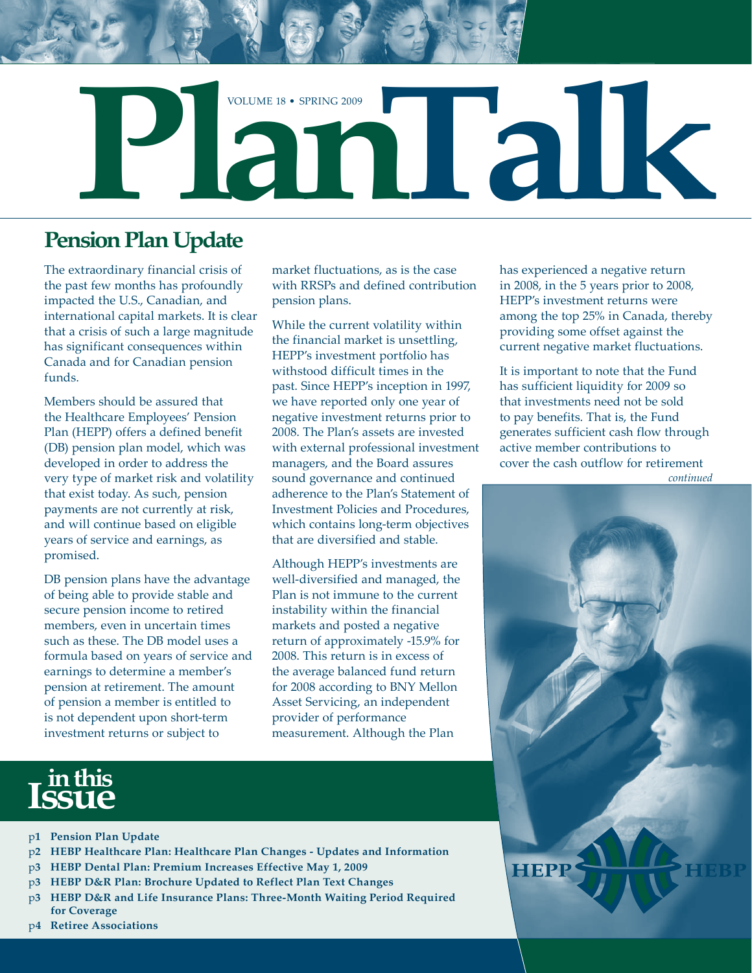

# **Pension Plan Update**

The extraordinary financial crisis of the past few months has profoundly impacted the U.S., Canadian, and international capital markets. It is clear that a crisis of such a large magnitude has significant consequences within Canada and for Canadian pension funds.

Members should be assured that the Healthcare Employees' Pension Plan (HEPP) offers a defined benefit (DB) pension plan model, which was developed in order to address the very type of market risk and volatility that exist today. As such, pension payments are not currently at risk, and will continue based on eligible years of service and earnings, as promised.

DB pension plans have the advantage of being able to provide stable and secure pension income to retired members, even in uncertain times such as these. The DB model uses a formula based on years of service and earnings to determine a member's pension at retirement. The amount of pension a member is entitled to is not dependent upon short-term investment returns or subject to

market fluctuations, as is the case with RRSPs and defined contribution pension plans.

While the current volatility within the financial market is unsettling, HEPP's investment portfolio has withstood difficult times in the past. Since HEPP's inception in 1997, we have reported only one year of negative investment returns prior to 2008. The Plan's assets are invested with external professional investment managers, and the Board assures sound governance and continued adherence to the Plan's Statement of Investment Policies and Procedures, which contains long-term objectives that are diversified and stable.

Although HEPP's investments are well-diversified and managed, the Plan is not immune to the current instability within the financial markets and posted a negative return of approximately -15.9% for 2008. This return is in excess of the average balanced fund return for 2008 according to BNY Mellon Asset Servicing, an independent provider of performance measurement. Although the Plan

has experienced a negative return in 2008, in the 5 years prior to 2008, HEPP's investment returns were among the top 25% in Canada, thereby providing some offset against the current negative market fluctuations.

It is important to note that the Fund has sufficient liquidity for 2009 so that investments need not be sold to pay benefits. That is, the Fund generates sufficient cash flow through active member contributions to cover the cash outflow for retirement *continued*



# **in this Issue**

- p**1 Pension Plan Update**
- p**2 HEBP Healthcare Plan: Healthcare Plan Changes Updates and Information**
- p**3 HEBP Dental Plan: Premium Increases Effective May 1, 2009**
- p**3 HEBP D&R Plan: Brochure Updated to Reflect Plan Text Changes**
- p**3 HEBP D&R and Life Insurance Plans: Three-Month Waiting Period Required for Coverage**
- p**4 Retiree Associations**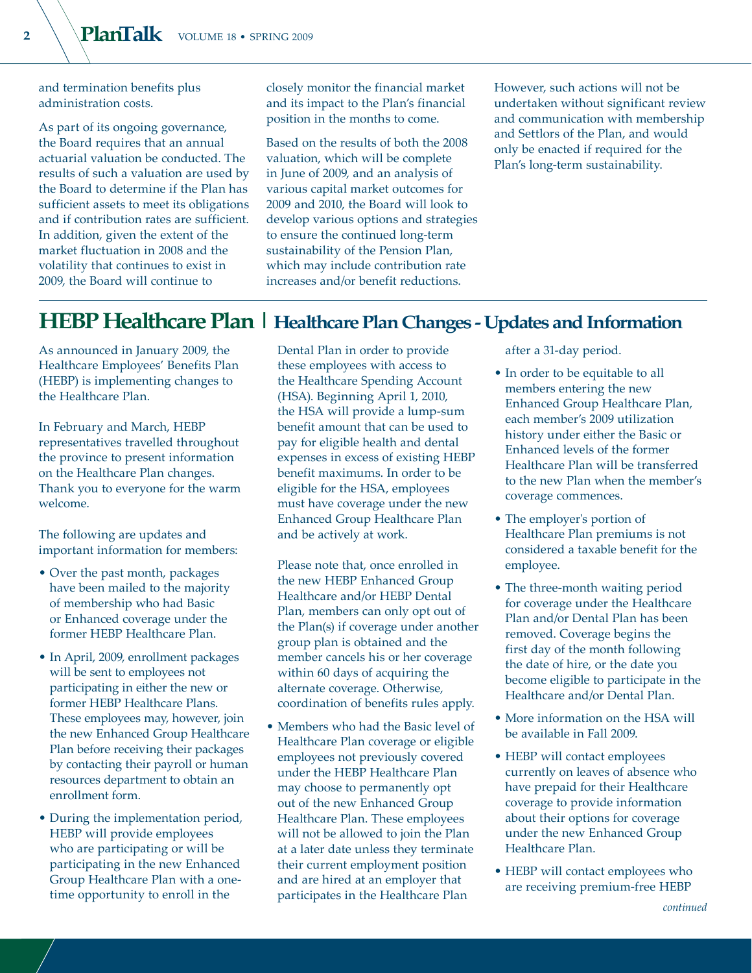and termination benefits plus administration costs.

As part of its ongoing governance, the Board requires that an annual actuarial valuation be conducted. The results of such a valuation are used by the Board to determine if the Plan has sufficient assets to meet its obligations and if contribution rates are sufficient. In addition, given the extent of the market fluctuation in 2008 and the volatility that continues to exist in 2009, the Board will continue to

closely monitor the financial market and its impact to the Plan's financial position in the months to come.

Based on the results of both the 2008 valuation, which will be complete in June of 2009, and an analysis of various capital market outcomes for 2009 and 2010, the Board will look to develop various options and strategies to ensure the continued long-term sustainability of the Pension Plan, which may include contribution rate increases and/or benefit reductions.

However, such actions will not be undertaken without significant review and communication with membership and Settlors of the Plan, and would only be enacted if required for the Plan's long-term sustainability.

# **HEBP Healthcare Plan | Healthcare Plan Changes - Updates and Information**

As announced in January 2009, the Healthcare Employees' Benefits Plan (HEBP) is implementing changes to the Healthcare Plan.

In February and March, HEBP representatives travelled throughout the province to present information on the Healthcare Plan changes. Thank you to everyone for the warm welcome.

The following are updates and important information for members:

- Over the past month, packages have been mailed to the majority of membership who had Basic or Enhanced coverage under the former HEBP Healthcare Plan.
- In April, 2009, enrollment packages will be sent to employees not participating in either the new or former HEBP Healthcare Plans. These employees may, however, join the new Enhanced Group Healthcare Plan before receiving their packages by contacting their payroll or human resources department to obtain an enrollment form.
- During the implementation period, HEBP will provide employees who are participating or will be participating in the new Enhanced Group Healthcare Plan with a onetime opportunity to enroll in the

Dental Plan in order to provide these employees with access to the Healthcare Spending Account (HSA). Beginning April 1, 2010, the HSA will provide a lump-sum benefit amount that can be used to pay for eligible health and dental expenses in excess of existing HEBP benefit maximums. In order to be eligible for the HSA, employees must have coverage under the new Enhanced Group Healthcare Plan and be actively at work.

Please note that, once enrolled in the new HEBP Enhanced Group Healthcare and/or HEBP Dental Plan, members can only opt out of the Plan(s) if coverage under another group plan is obtained and the member cancels his or her coverage within 60 days of acquiring the alternate coverage. Otherwise, coordination of benefits rules apply.

• Members who had the Basic level of Healthcare Plan coverage or eligible employees not previously covered under the HEBP Healthcare Plan may choose to permanently opt out of the new Enhanced Group Healthcare Plan. These employees will not be allowed to join the Plan at a later date unless they terminate their current employment position and are hired at an employer that participates in the Healthcare Plan

after a 31-day period.

- In order to be equitable to all members entering the new Enhanced Group Healthcare Plan, each member's 2009 utilization history under either the Basic or Enhanced levels of the former Healthcare Plan will be transferred to the new Plan when the member's coverage commences.
- The employer's portion of Healthcare Plan premiums is not considered a taxable benefit for the employee.
- The three-month waiting period for coverage under the Healthcare Plan and/or Dental Plan has been removed. Coverage begins the first day of the month following the date of hire, or the date you become eligible to participate in the Healthcare and/or Dental Plan.
- More information on the HSA will be available in Fall 2009.
- HEBP will contact employees currently on leaves of absence who have prepaid for their Healthcare coverage to provide information about their options for coverage under the new Enhanced Group Healthcare Plan.
- HEBP will contact employees who are receiving premium-free HEBP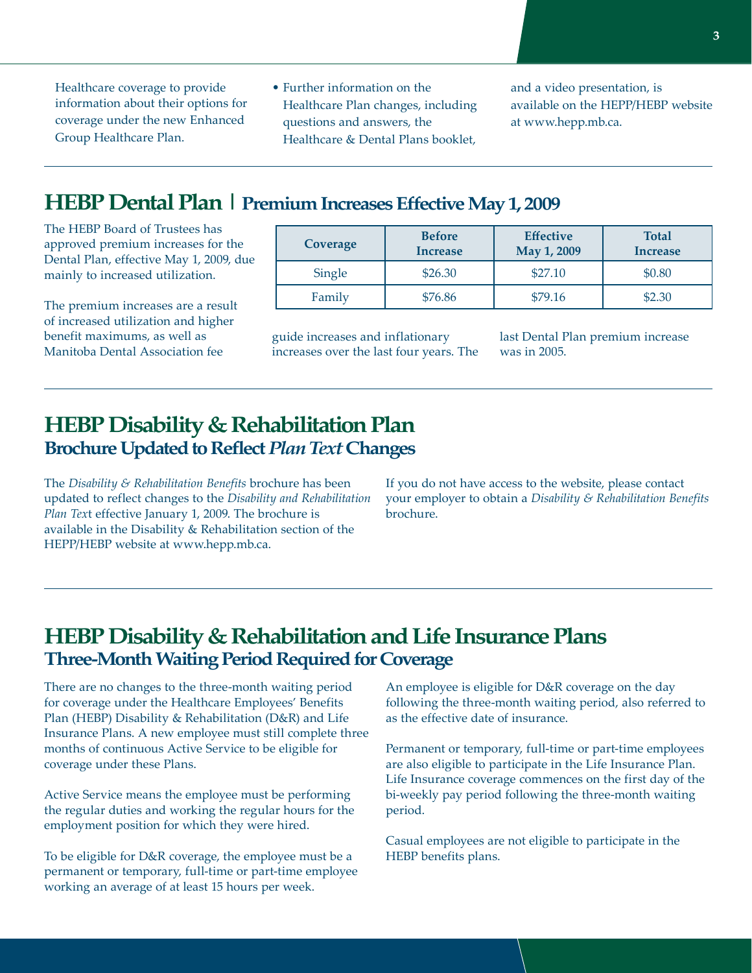Healthcare coverage to provide information about their options for coverage under the new Enhanced Group Healthcare Plan.

• Further information on the Healthcare Plan changes, including questions and answers, the Healthcare & Dental Plans booklet,

and a video presentation, is available on the HEPP/HEBP website at www.hepp.mb.ca.

# **HEBP Dental Plan | Premium Increases Effective May 1, 2009**

The HEBP Board of Trustees has approved premium increases for the Dental Plan, effective May 1, 2009, due mainly to increased utilization.

The premium increases are a result of increased utilization and higher benefit maximums, as well as Manitoba Dental Association fee

| Coverage | <b>Before</b><br><b>Increase</b> | <b>Effective</b><br>May 1, 2009 | <b>Total</b><br><b>Increase</b> |
|----------|----------------------------------|---------------------------------|---------------------------------|
| Single   | \$26.30                          | \$27.10                         | \$0.80                          |
| Family   | \$76.86                          | \$79.16                         | \$2.30                          |

guide increases and inflationary increases over the last four years. The last Dental Plan premium increase was in 2005.

#### **HEBP Disability & Rehabilitation Plan Brochure Updated to Reflect** *Plan Text* **Changes**

The *Disability & Rehabilitation Benefits* brochure has been updated to reflect changes to the *Disability and Rehabilitation Plan Tex*t effective January 1, 2009. The brochure is available in the Disability & Rehabilitation section of the HEPP/HEBP website at www.hepp.mb.ca.

If you do not have access to the website, please contact your employer to obtain a *Disability & Rehabilitation Benefits* brochure.

### **HEBP Disability & Rehabilitation and Life Insurance Plans Three-Month Waiting Period Required for Coverage**

There are no changes to the three-month waiting period for coverage under the Healthcare Employees' Benefits Plan (HEBP) Disability & Rehabilitation (D&R) and Life Insurance Plans. A new employee must still complete three months of continuous Active Service to be eligible for coverage under these Plans.

Active Service means the employee must be performing the regular duties and working the regular hours for the employment position for which they were hired.

To be eligible for D&R coverage, the employee must be a permanent or temporary, full-time or part-time employee working an average of at least 15 hours per week.

An employee is eligible for D&R coverage on the day following the three-month waiting period, also referred to as the effective date of insurance.

Permanent or temporary, full-time or part-time employees are also eligible to participate in the Life Insurance Plan. Life Insurance coverage commences on the first day of the bi-weekly pay period following the three-month waiting period.

Casual employees are not eligible to participate in the HEBP benefits plans.